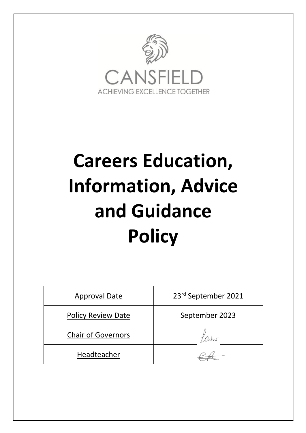

# **Careers Education, Information, Advice and Guidance Policy**

| <b>Approval Date</b>      | 23rd September 2021 |  |
|---------------------------|---------------------|--|
| <b>Policy Review Date</b> | September 2023      |  |
| <b>Chair of Governors</b> |                     |  |
| Headteacher               |                     |  |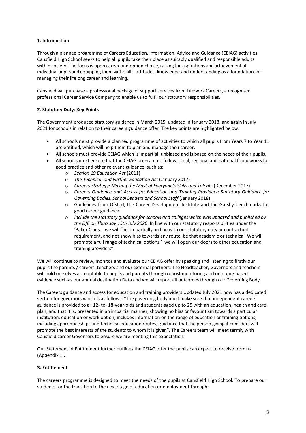# **1. Introduction**

Through a planned programme of Careers Education, Information, Advice and Guidance (CEIAG) activities Cansfield High School seeks to help all pupils take their place as suitably qualified and responsible adults within society. The focus is upon career and option choice, raising the aspirations and achievement of individual pupils and equipping themwith skills, attitudes, knowledge and understanding as a foundation for managing their lifelong career and learning.

Cansfield will purchase a professional package of support services from Lifework Careers, a recognised professional Career Service Company to enable us to fulfil our statutory responsibilities.

# **2. Statutory Duty: Key Points**

The Government produced statutory guidance in March 2015, updated in January 2018, and again in July 2021 for schools in relation to their careers guidance offer. The key points are highlighted below:

- All schools must provide a planned programme of activities to which all pupils from Years 7 to Year 11 are entitled, which will help them to plan and manage their career.
- All schools must provide CEIAG which is impartial, unbiased and is based on the needs of their pupils.
- All schools must ensure that the CEIAG programme follows local, regional and national frameworks for good practice and other relevant guidance, such as:
	- o *Section 19 Education Act* (2011)
	- o *The Technical and Further Education Act* (January 2017)
	- o *Careers Strategy: Making the Most of Everyone's Skills and Talents* (December 2017)
	- o *Careers Guidance and Access for Education and Training Providers: Statutory Guidance for Governing Bodies, School Leaders and School Staff* (January 2018)
	- o Guidelines from Ofsted, the Career Development Institute and the Gatsby benchmarks for good career guidance.
	- o *Include the statutory guidance for schools and colleges which was updated and published by the DfE on Thursday 15th July 2020*. In line with our statutory responsibilities under the 'Baker Clause: we will "act impartially, in line with our statutory duty or contractual requirement, and not show bias towards any route, be that academic or technical. We will promote a full range of technical options.' 'we will open our doors to other education and training providers".

We will continue to review, monitor and evaluate our CEIAG offer by speaking and listening to firstly our pupils the parents / careers, teachers and our external partners. The Headteacher, Governors and teachers will hold ourselves accountable to pupils and parents through robust monitoring and outcome-based evidence such as our annual destination Data and we will report all outcomes through our Governing Body.

The Careers guidance and access for education and training providers Updated July 2021 now has a dedicated section for governors which is as follows: "The governing body must make sure that independent careers guidance is provided to all 12- to- 18-year-olds and students aged up to 25 with an education, health and care plan, and that it is: presented in an impartial manner, showing no bias or favouritism towards a particular institution, education or work option; includes information on the range of education or training options, including apprenticeships and technical education routes; guidance that the person giving it considers will promote the best interests of the students to whom it is given". The Careers team will meet termly with Cansfield career Governors to ensure we are meeting this expectation.

Our Statement of Entitlement further outlines the CEIAG offer the pupils can expect to receive fromus (Appendix 1).

#### **3. Entitlement**

The careers programme is designed to meet the needs of the pupils at Cansfield High School. To prepare our students for the transition to the next stage of education or employment through: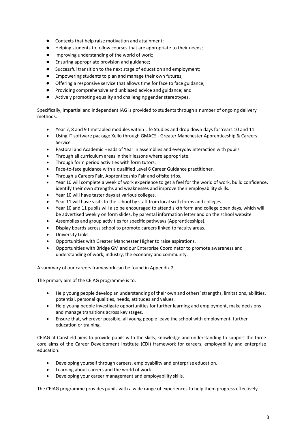- Contexts that help raise motivation and attainment;
- Helping students to follow courses that are appropriate to their needs;
- Improving understanding of the world of work;
- Ensuring appropriate provision and guidance;
- Successful transition to the next stage of education and employment;
- Empowering students to plan and manage their own futures;
- Offering a responsive service that allows time for face to face guidance;
- Providing comprehensive and unbiased advice and guidance; and
- Actively promoting equality and challenging gender stereotypes.

Specifically, impartial and independent IAG is provided to students through a number of ongoing delivery methods:

- Year 7, 8 and 9 timetabled modules within Life Studies and drop down days for Years 10 and 11.
- Using IT software package Xello through GMACS Greater Manchester Apprenticeship & Careers Service
- Pastoral and Academic Heads of Year in assemblies and everyday interaction with pupils
- Through all curriculum areas in their lessons where appropriate.
- Through form period activities with form tutors.
- Face-to-face guidance with a qualified Level 6 Career Guidance practitioner.
- Through a Careers Fair, Apprenticeship Fair and offsite trips.
- Year 10 will complete a week of work experience to get a feel for the world of work, build confidence, identify their own strengths and weaknesses and improve their employability skills.
- Year 10 will have taster days at various colleges.
- Year 11 will have visits to the school by staff from local sixth forms and colleges.
- Year 10 and 11 pupils will also be encouraged to attend sixth form and college open days, which will be advertised weekly on form slides, by parental information letter and on the school website.
- Assemblies and group activities for specific pathways (Apprenticeships).
- Display boards across school to promote careers linked to faculty areas.
- University Links.
- Opportunities with Greater Manchester Higher to raise aspirations.
- Opportunities with Bridge GM and our Enterprise Coordinator to promote awareness and understanding of work, industry, the economy and community.

A summary of our careers framework can be found in Appendix 2.

The primary aim of the CEIAG programme is to:

- Help young people develop an understanding of their own and others'strengths, limitations, abilities, potential, personal qualities, needs, attitudes and values.
- Help young people investigate opportunities for further learning and employment, make decisions and manage transitions across key stages.
- Ensure that, wherever possible, all young people leave the school with employment, further education or training.

CEIAG at Cansfield aims to provide pupils with the skills, knowledge and understanding to support the three core aims of the Career Development Institute (CDI) framework for careers, employability and enterprise education:

- Developing yourself through careers, employability and enterprise education.
- Learning about careers and the world of work.
- Developing your career management and employability skills.

The CEIAG programme provides pupils with a wide range of experiences to help them progress effectively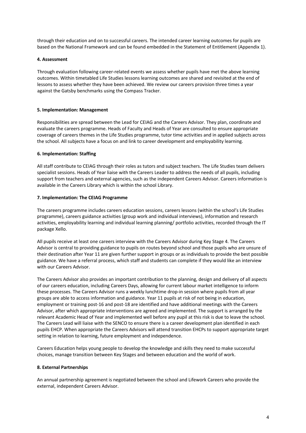through their education and on to successful careers. The intended career learning outcomes for pupils are based on the National Framework and can be found embedded in the Statement of Entitlement (Appendix 1).

#### **4. Assessment**

Through evaluation following career-related events we assess whether pupils have met the above learning outcomes. Within timetabled Life Studies lessons learning outcomes are shared and revisited at the end of lessons to assess whether they have been achieved. We review our careers provision three times a year against the Gatsby benchmarks using the Compass Tracker.

#### **5. Implementation: Management**

Responsibilities are spread between the Lead for CEIAG and the Careers Advisor. They plan, coordinate and evaluate the careers programme. Heads of Faculty and Heads of Year are consulted to ensure appropriate coverage of careers themes in the Life Studies programme, tutor time activities and in applied subjects across the school. All subjects have a focus on and link to career development and employability learning.

#### **6. Implementation: Staffing**

All staff contribute to CEIAG through their roles as tutors and subject teachers. The Life Studies team delivers specialist sessions. Heads of Year liaise with the Careers Leader to address the needs of all pupils, including support from teachers and external agencies, such as the independent Careers Advisor. Careers information is available in the Careers Library which is within the school Library.

#### **7. Implementation: The CEIAG Programme**

The careers programme includes careers education sessions, careers lessons (within the school's Life Studies programme), careers guidance activities (group work and individual interviews), information and research activities, employability learning and individual learning planning/ portfolio activities, recorded through the IT package Xello.

All pupils receive at least one careers interview with the Careers Advisor during Key Stage 4. The Careers Advisor is central to providing guidance to pupils on routes beyond school and those pupils who are unsure of their destination after Year 11 are given further support in groups or as individuals to provide the best possible guidance. We have a referral process, which staff and students can complete if they would like an interview with our Careers Advisor.

The Careers Advisor also provides an important contribution to the planning, design and delivery of all aspects of our careers education, including Careers Days, allowing for current labour market intelligence to inform these processes. The Careers Advisor runs a weekly lunchtime drop-in session where pupils from all year groups are able to access information and guidance. Year 11 pupils at risk of not being in education, employment or training post-16 and post-18 are identified and have additional meetings with the Careers Advisor, after which appropriate interventions are agreed and implemented. The support is arranged by the relevant Academic Head of Year and implemented well before any pupil at this risk is due to leave the school. The Careers Lead will liaise with the SENCO to ensure there is a career development plan identified in each pupils EHCP. When appropriate the Careers Advisors will attend transition EHCPs to support appropriate target setting in relation to learning, future employment and independence.

Careers Education helps young people to develop the knowledge and skills they need to make successful choices, manage transition between Key Stages and between education and the world of work.

#### **8. External Partnerships**

An annual partnership agreement is negotiated between the school and Lifework Careers who provide the external, independent Careers Advisor.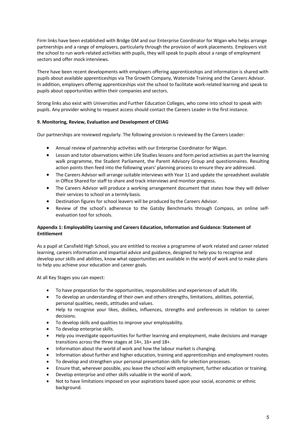Firm links have been established with Bridge GM and our Enterprise Coordinator for Wigan who helps arrange partnerships and a range of employers, particularly through the provision of work placements. Employers visit the school to run work-related activities with pupils, they will speak to pupils about a range of employment sectors and offer mock interviews.

There have been recent developments with employers offering apprenticeships and information is shared with pupils about available apprenticeships via The Growth Company, Waterside Training and the Careers Advisor. In addition, employers offering apprenticeships visit the school to facilitate work-related learning and speak to pupils about opportunities within their companies and sectors.

Strong links also exist with Universities and Further Education Colleges, who come into school to speak with pupils. Any provider wishing to request access should contact the Careers Leader in the first instance.

# **9. Monitoring, Review, Evaluation and Development of CEIAG**

Our partnerships are reviewed regularly. The following provision is reviewed by the Careers Leader:

- Annual review of partnership activities with our Enterprise Coordinator for Wigan.
- Lesson and tutor observations within Life Studies lessons and form period activities as part the learning walk programme, the Student Parliament, the Parent Advisory Group and questionnaires. Resulting action points then feed into the following years' planning process to ensure they are addressed.
- The Careers Advisor will arrange suitable interviews with Year 11 and update the spreadsheet available in Office Shared for staff to share and track interviews and monitor progress.
- The Careers Advisor will produce a working arrangement document that states how they will deliver their services to school on a termly basis.
- Destination figures for school leavers will be produced by the Careers Advisor.
- Review of the school's adherence to the Gatsby Benchmarks through Compass, an online selfevaluation tool for schools.

## **Appendix 1: Employability Learning and Careers Education, Information and Guidance: Statement of Entitlement**

As a pupil at Cansfield High School, you are entitled to receive a programme of work related and career related learning, careers information and impartial advice and guidance, designed to help you to recognise and develop your skills and abilities, know what opportunities are available in the world of work and to make plans to help you achieve your education and career goals.

At all Key Stages you can expect:

- To have preparation for the opportunities, responsibilities and experiences of adult life.
- To develop an understanding of their own and others strengths, limitations, abilities, potential, personal qualities, needs, attitudes and values.
- Help to recognise your likes, dislikes, influences, strengths and preferences in relation to career decisions.
- To develop skills and qualities to improve your employability.
- To develop enterprise skills.
- Help you investigate opportunities for further learning and employment, make decisions and manage transitions across the three stages at 14+, 16+ and 18+.
- Information about the world of work and how the labour market is changing.
- Information about further and higher education, training and apprenticeships and employment routes.
- To develop and strengthen your personal presentation skills for selection processes.
- Ensure that, wherever possible, you leave the school with employment, further education or training.
- Develop enterprise and other skills valuable in the world of work.
- Not to have limitations imposed on your aspirations based upon your social, economic or ethnic background.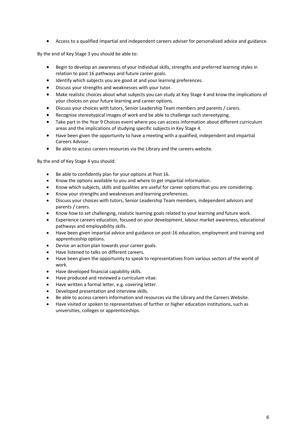• Access to a qualified impartial and independent careers adviser for personalised advice and guidance.

By the end of Key Stage 3 you should be able to:

- Begin to develop an awareness of your individual skills, strengths and preferred learning styles in relation to post 16 pathways and future career goals.
- Identify which subjects you are good at and your learning preferences.
- Discuss your strengths and weaknesses with your tutor.
- Make realistic choices about what subjects you can study at Key Stage 4 and know the implications of your choices on your future learning and career options.
- Discuss your choices with tutors, Senior Leadership Team members and parents / carers.
- Recognise stereotypical images of work and be able to challenge such stereotyping.
- Take part in the Year 9 Choices event where you can access information about different curriculum areas and the implications of studying specific subjects in Key Stage 4.
- Have been given the opportunity to have a meeting with a qualified, independent and impartial Careers Advisor.
- Be able to access careers resources via the Library and the careers website.

By the end of Key Stage 4 you should:

- Be able to confidently plan for your options at Post 16.
- Know the options available to you and where to get impartial information.
- Know which subjects, skills and qualities are useful for career options that you are considering.
- Know your strengths and weaknesses and learning preferences.
- Discuss your choices with tutors, Senior Leadership Team members, independent advisors and parents / carers.
- Know how to set challenging, realistic learning goals related to your learning and future work.
- Experience careers education, focused on your development, labour market awareness, educational pathways and employability skills.
- Have been given impartial advice and guidance on post-16 education, employment and training and apprenticeship options.
- Devise an action plan towards your career goals.
- Have listened to talks on different careers.
- Have been given the opportunity to speak to representatives from various sectors of the world of work.
- Have developed financial capability skills.
- Have produced and reviewed a curriculum vitae.
- Have written a formal letter, e.g. covering letter.
- Developed presentation and interview skills.
- Be able to access careers information and resources via the Library and the Careers Website.
- Have visited or spoken to representatives of further or higher education institutions, such as universities, colleges or apprenticeships.